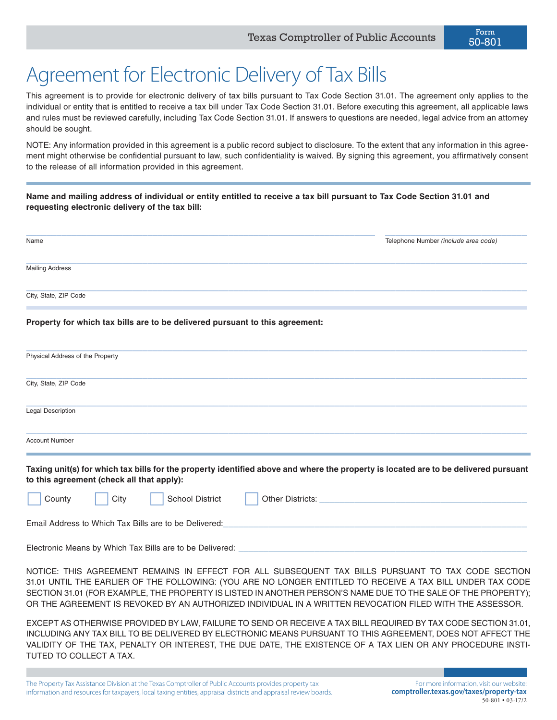$50-801 \cdot 03-17/2$ 

## Agreement for Electronic Delivery of Tax Bills

This agreement is to provide for electronic delivery of tax bills pursuant to Tax Code Section 31.01. The agreement only applies to the individual or entity that is entitled to receive a tax bill under Tax Code Section 31.01. Before executing this agreement, all applicable laws and rules must be reviewed carefully, including Tax Code Section 31.01. If answers to questions are needed, legal advice from an attorney should be sought.

NOTE: Any information provided in this agreement is a public record subject to disclosure. To the extent that any information in this agreement might otherwise be confidential pursuant to law, such confidentiality is waived. By signing this agreement, you affirmatively consent to the release of all information provided in this agreement.

**Name and mailing address of individual or entity entitled to receive a tax bill pursuant to Tax Code Section 31.01 and requesting electronic delivery of the tax bill:**

| <b>Mailing Address</b><br>City, State, ZIP Code<br>Property for which tax bills are to be delivered pursuant to this agreement:<br>Physical Address of the Property<br>City, State, ZIP Code<br><b>Legal Description</b><br><b>Account Number</b><br>Taxing unit(s) for which tax bills for the property identified above and where the property is located are to be delivered pursuant<br>to this agreement (check all that apply):<br><b>School District</b><br>County<br>City<br>Other Districts:<br>Email Address to Which Tax Bills are to be Delivered:<br>Electronic Means by Which Tax Bills are to be Delivered:<br>NOTICE: THIS AGREEMENT REMAINS IN EFFECT FOR ALL SUBSEQUENT TAX BILLS PURSUANT TO TAX CODE SECTION<br>31.01 UNTIL THE EARLIER OF THE FOLLOWING: (YOU ARE NO LONGER ENTITLED TO RECEIVE A TAX BILL UNDER TAX CODE<br>SECTION 31.01 (FOR EXAMPLE, THE PROPERTY IS LISTED IN ANOTHER PERSON'S NAME DUE TO THE SALE OF THE PROPERTY);<br>OR THE AGREEMENT IS REVOKED BY AN AUTHORIZED INDIVIDUAL IN A WRITTEN REVOCATION FILED WITH THE ASSESSOR.<br>EXCEPT AS OTHERWISE PROVIDED BY LAW, FAILURE TO SEND OR RECEIVE A TAX BILL REQUIRED BY TAX CODE SECTION 31.01,<br>INCLUDING ANY TAX BILL TO BE DELIVERED BY ELECTRONIC MEANS PURSUANT TO THIS AGREEMENT, DOES NOT AFFECT THE | Name | Telephone Number (include area code)                                                 |
|-------------------------------------------------------------------------------------------------------------------------------------------------------------------------------------------------------------------------------------------------------------------------------------------------------------------------------------------------------------------------------------------------------------------------------------------------------------------------------------------------------------------------------------------------------------------------------------------------------------------------------------------------------------------------------------------------------------------------------------------------------------------------------------------------------------------------------------------------------------------------------------------------------------------------------------------------------------------------------------------------------------------------------------------------------------------------------------------------------------------------------------------------------------------------------------------------------------------------------------------------------------------------------------------------------------|------|--------------------------------------------------------------------------------------|
|                                                                                                                                                                                                                                                                                                                                                                                                                                                                                                                                                                                                                                                                                                                                                                                                                                                                                                                                                                                                                                                                                                                                                                                                                                                                                                             |      |                                                                                      |
|                                                                                                                                                                                                                                                                                                                                                                                                                                                                                                                                                                                                                                                                                                                                                                                                                                                                                                                                                                                                                                                                                                                                                                                                                                                                                                             |      |                                                                                      |
|                                                                                                                                                                                                                                                                                                                                                                                                                                                                                                                                                                                                                                                                                                                                                                                                                                                                                                                                                                                                                                                                                                                                                                                                                                                                                                             |      |                                                                                      |
|                                                                                                                                                                                                                                                                                                                                                                                                                                                                                                                                                                                                                                                                                                                                                                                                                                                                                                                                                                                                                                                                                                                                                                                                                                                                                                             |      |                                                                                      |
|                                                                                                                                                                                                                                                                                                                                                                                                                                                                                                                                                                                                                                                                                                                                                                                                                                                                                                                                                                                                                                                                                                                                                                                                                                                                                                             |      |                                                                                      |
|                                                                                                                                                                                                                                                                                                                                                                                                                                                                                                                                                                                                                                                                                                                                                                                                                                                                                                                                                                                                                                                                                                                                                                                                                                                                                                             |      |                                                                                      |
|                                                                                                                                                                                                                                                                                                                                                                                                                                                                                                                                                                                                                                                                                                                                                                                                                                                                                                                                                                                                                                                                                                                                                                                                                                                                                                             |      |                                                                                      |
|                                                                                                                                                                                                                                                                                                                                                                                                                                                                                                                                                                                                                                                                                                                                                                                                                                                                                                                                                                                                                                                                                                                                                                                                                                                                                                             |      |                                                                                      |
|                                                                                                                                                                                                                                                                                                                                                                                                                                                                                                                                                                                                                                                                                                                                                                                                                                                                                                                                                                                                                                                                                                                                                                                                                                                                                                             |      |                                                                                      |
|                                                                                                                                                                                                                                                                                                                                                                                                                                                                                                                                                                                                                                                                                                                                                                                                                                                                                                                                                                                                                                                                                                                                                                                                                                                                                                             |      |                                                                                      |
|                                                                                                                                                                                                                                                                                                                                                                                                                                                                                                                                                                                                                                                                                                                                                                                                                                                                                                                                                                                                                                                                                                                                                                                                                                                                                                             |      |                                                                                      |
|                                                                                                                                                                                                                                                                                                                                                                                                                                                                                                                                                                                                                                                                                                                                                                                                                                                                                                                                                                                                                                                                                                                                                                                                                                                                                                             |      |                                                                                      |
| VALIDITY OF THE TAX, PENALTY OR INTEREST, THE DUE DATE, THE EXISTENCE OF A TAX LIEN OR ANY PROCEDURE INSTI-<br>TUTED TO COLLECT A TAX.                                                                                                                                                                                                                                                                                                                                                                                                                                                                                                                                                                                                                                                                                                                                                                                                                                                                                                                                                                                                                                                                                                                                                                      |      |                                                                                      |
| The Property Tax Assistance Division at the Texas Comptroller of Public Accounts provides property tax<br>information and resources for taxpayers, local taxing entities, appraisal districts and appraisal review boards.                                                                                                                                                                                                                                                                                                                                                                                                                                                                                                                                                                                                                                                                                                                                                                                                                                                                                                                                                                                                                                                                                  |      | For more information, visit our website:<br>comptroller.texas.gov/taxes/property-tax |